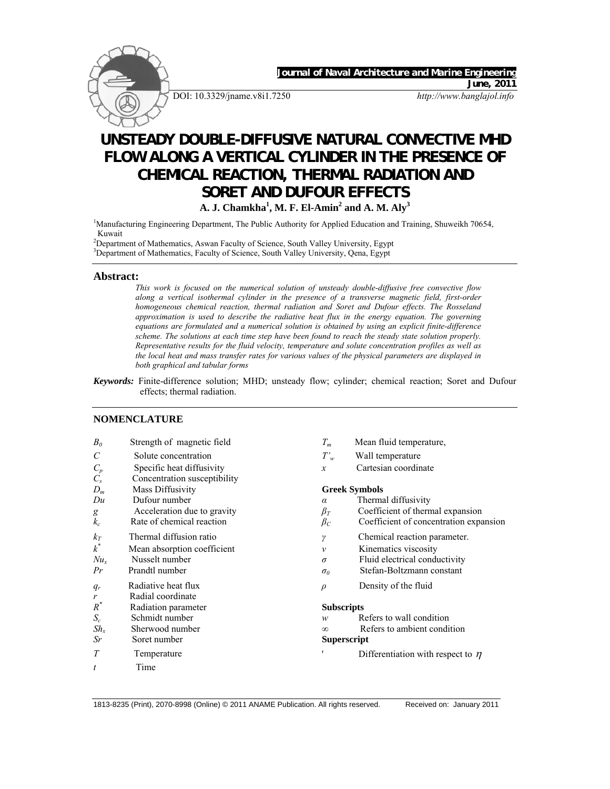

# **FLOW ALONG A VERTICAL CYLINDER IN THE PRESENCE OF CHEMICAL REACTION, THERMAL RADIATION AND SORET AND DUFOUR EFFECTS A. J. Chamkha<sup>1</sup>, M. F. El-Amin<sup>2</sup> and A. M. Aly<sup>3</sup>**

<sup>1</sup>Manufacturing Engineering Department, The Public Authority for Applied Education and Training, Shuweikh 70654, Kuwait

<sup>2</sup> Department of Mathematics, Aswan Faculty of Science, South Valley University, Egypt <sup>3</sup> Department of Mathematics, Fourth of Science, South Valley University, Orne, Fourth

<sup>3</sup>Department of Mathematics, Faculty of Science, South Valley University, Qena, Egypt

#### **Abstract:**

*This work is focused on the numerical solution of unsteady double-diffusive free convective flow along a vertical isothermal cylinder in the presence of a transverse magnetic field, first-order homogeneous chemical reaction, thermal radiation and Soret and Dufour effects. The Rosseland approximation is used to describe the radiative heat flux in the energy equation. The governing equations are formulated and a numerical solution is obtained by using an explicit finite-difference scheme. The solutions at each time step have been found to reach the steady state solution properly. Representative results for the fluid velocity, temperature and solute concentration profiles as well as the local heat and mass transfer rates for various values of the physical parameters are displayed in both graphical and tabular forms* 

*Keywords:* Finite-difference solution; MHD; unsteady flow; cylinder; chemical reaction; Soret and Dufour effects; thermal radiation.

## **NOMENCLATURE**

| $B_0$                 | Strength of magnetic field   | $T_m$                | Mean fluid temperature,                |
|-----------------------|------------------------------|----------------------|----------------------------------------|
| $\mathcal{C}_{0}^{0}$ | Solute concentration         | $T'_{w}$             | Wall temperature                       |
| $C_p$                 | Specific heat diffusivity    | $\boldsymbol{x}$     | Cartesian coordinate                   |
| $C_{s}$               | Concentration susceptibility |                      |                                        |
| $D_m$                 | Mass Diffusivity             | <b>Greek Symbols</b> |                                        |
| Du                    | Dufour number                | $\alpha$             | Thermal diffusivity                    |
| g                     | Acceleration due to gravity  | $\beta_T$            | Coefficient of thermal expansion       |
| $k_c$                 | Rate of chemical reaction    | $\beta_C$            | Coefficient of concentration expansion |
| $k_T$                 | Thermal diffusion ratio      | γ                    | Chemical reaction parameter.           |
| $k^*$                 | Mean absorption coefficient  | $\mathcal V$         | Kinematics viscosity                   |
| $Nu_{x}$              | Nusselt number               | $\sigma$             | Fluid electrical conductivity          |
| Pr                    | Prandtl number               | $\sigma_0$           | Stefan-Boltzmann constant              |
| $q_r$                 | Radiative heat flux          | $\rho$               | Density of the fluid                   |
| r                     | Radial coordinate            |                      |                                        |
| $R^*$                 | Radiation parameter          | <b>Subscripts</b>    |                                        |
| $S_c$                 | Schmidt number               | w                    | Refers to wall condition               |
| $Sh_x$                | Sherwood number              | $\infty$             | Refers to ambient condition            |
| Sr                    | Soret number                 | <b>Superscript</b>   |                                        |
| T                     | Temperature                  |                      | Differentiation with respect to $\eta$ |
| t                     | Time                         |                      |                                        |

1813-8235 (Print), 2070-8998 (Online) © 2011 ANAME Publication. All rights reserved. Received on: January 2011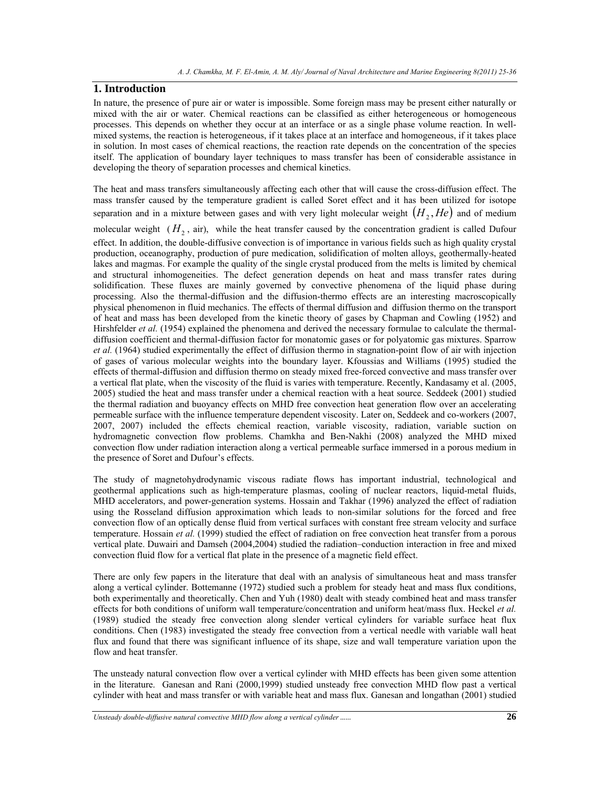# **1. Introduction**

In nature, the presence of pure air or water is impossible. Some foreign mass may be present either naturally or mixed with the air or water. Chemical reactions can be classified as either heterogeneous or homogeneous processes. This depends on whether they occur at an interface or as a single phase volume reaction. In wellmixed systems, the reaction is heterogeneous, if it takes place at an interface and homogeneous, if it takes place in solution. In most cases of chemical reactions, the reaction rate depends on the concentration of the species itself. The application of boundary layer techniques to mass transfer has been of considerable assistance in developing the theory of separation processes and chemical kinetics.

The heat and mass transfers simultaneously affecting each other that will cause the cross-diffusion effect. The mass transfer caused by the temperature gradient is called Soret effect and it has been utilized for isotope separation and in a mixture between gases and with very light molecular weight  $(H_2, He)$  and of medium

molecular weight  $(H_2)$ , air), while the heat transfer caused by the concentration gradient is called Dufour effect. In addition, the double-diffusive convection is of importance in various fields such as high quality crystal production, oceanography, production of pure medication, solidification of molten alloys, geothermally-heated lakes and magmas. For example the quality of the single crystal produced from the melts is limited by chemical and structural inhomogeneities. The defect generation depends on heat and mass transfer rates during solidification. These fluxes are mainly governed by convective phenomena of the liquid phase during processing. Also the thermal-diffusion and the diffusion-thermo effects are an interesting macroscopically physical phenomenon in fluid mechanics. The effects of thermal diffusion and diffusion thermo on the transport of heat and mass has been developed from the kinetic theory of gases by Chapman and Cowling (1952) and Hirshfelder *et al.* (1954) explained the phenomena and derived the necessary formulae to calculate the thermaldiffusion coefficient and thermal-diffusion factor for monatomic gases or for polyatomic gas mixtures. Sparrow *et al.* (1964) studied experimentally the effect of diffusion thermo in stagnation-point flow of air with injection of gases of various molecular weights into the boundary layer. Kfoussias and Williams (1995) studied the effects of thermal-diffusion and diffusion thermo on steady mixed free-forced convective and mass transfer over a vertical flat plate, when the viscosity of the fluid is varies with temperature. Recently, Kandasamy et al. (2005, 2005) studied the heat and mass transfer under a chemical reaction with a heat source. Seddeek (2001) studied the thermal radiation and buoyancy effects on MHD free convection heat generation flow over an accelerating permeable surface with the influence temperature dependent viscosity. Later on, Seddeek and co-workers (2007, 2007, 2007) included the effects chemical reaction, variable viscosity, radiation, variable suction on hydromagnetic convection flow problems. Chamkha and Ben-Nakhi (2008) analyzed the MHD mixed convection flow under radiation interaction along a vertical permeable surface immersed in a porous medium in the presence of Soret and Dufour's effects.

The study of magnetohydrodynamic viscous radiate flows has important industrial, technological and geothermal applications such as high-temperature plasmas, cooling of nuclear reactors, liquid-metal fluids, MHD accelerators, and power-generation systems. Hossain and Takhar (1996) analyzed the effect of radiation using the Rosseland diffusion approximation which leads to non-similar solutions for the forced and free convection flow of an optically dense fluid from vertical surfaces with constant free stream velocity and surface temperature. Hossain *et al.* (1999) studied the effect of radiation on free convection heat transfer from a porous vertical plate. Duwairi and Damseh (2004,2004) studied the radiation–conduction interaction in free and mixed convection fluid flow for a vertical flat plate in the presence of a magnetic field effect.

There are only few papers in the literature that deal with an analysis of simultaneous heat and mass transfer along a vertical cylinder. Bottemanne (1972) studied such a problem for steady heat and mass flux conditions, both experimentally and theoretically. Chen and Yuh (1980) dealt with steady combined heat and mass transfer effects for both conditions of uniform wall temperature/concentration and uniform heat/mass flux. Heckel *et al.* (1989) studied the steady free convection along slender vertical cylinders for variable surface heat flux conditions. Chen (1983) investigated the steady free convection from a vertical needle with variable wall heat flux and found that there was significant influence of its shape, size and wall temperature variation upon the flow and heat transfer.

The unsteady natural convection flow over a vertical cylinder with MHD effects has been given some attention in the literature. Ganesan and Rani (2000,1999) studied unsteady free convection MHD flow past a vertical cylinder with heat and mass transfer or with variable heat and mass flux. Ganesan and longathan (2001) studied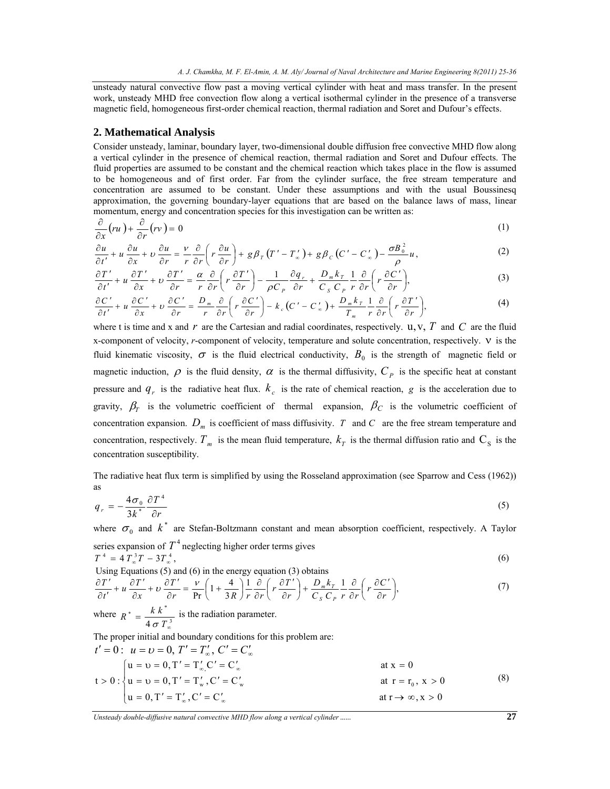unsteady natural convective flow past a moving vertical cylinder with heat and mass transfer. In the present work, unsteady MHD free convection flow along a vertical isothermal cylinder in the presence of a transverse magnetic field, homogeneous first-order chemical reaction, thermal radiation and Soret and Dufour's effects.

#### **2. Mathematical Analysis**

Consider unsteady, laminar, boundary layer, two-dimensional double diffusion free convective MHD flow along a vertical cylinder in the presence of chemical reaction, thermal radiation and Soret and Dufour effects. The fluid properties are assumed to be constant and the chemical reaction which takes place in the flow is assumed to be homogeneous and of first order. Far from the cylinder surface, the free stream temperature and concentration are assumed to be constant. Under these assumptions and with the usual Boussinesq approximation, the governing boundary-layer equations that are based on the balance laws of mass, linear momentum, energy and concentration species for this investigation can be written as:

$$
\frac{\partial}{\partial x}(ru) + \frac{\partial}{\partial r}(rv) = 0
$$
 (1)

$$
\frac{\partial u}{\partial t'} + u \frac{\partial u}{\partial x} + v \frac{\partial u}{\partial r} = \frac{v}{r} \frac{\partial}{\partial r} \left( r \frac{\partial u}{\partial r} \right) + g \beta_r (T' - T'_\n) + g \beta_c (C' - C'_\n) - \frac{\sigma B_0^2}{\rho} u,
$$
\n(2)

$$
\frac{\partial T'}{\partial t'} + u \frac{\partial T'}{\partial x} + v \frac{\partial T'}{\partial r} = \frac{\alpha}{r} \frac{\partial}{\partial r} \left( r \frac{\partial T'}{\partial r} \right) - \frac{1}{\rho C_p} \frac{\partial q_r}{\partial r} + \frac{D_m k_r}{C_s C_p} \frac{1}{r} \frac{\partial}{\partial r} \left( r \frac{\partial C'}{\partial r} \right),\tag{3}
$$

$$
\frac{\partial C'}{\partial t'} + u \frac{\partial C'}{\partial x} + v \frac{\partial C'}{\partial r} = \frac{D_m}{r} \frac{\partial}{\partial r} \left( r \frac{\partial C'}{\partial r} \right) - k_c \left( C' - C'_\infty \right) + \frac{D_m k_r}{T_m} \frac{1}{r} \frac{\partial}{\partial r} \left( r \frac{\partial T'}{\partial r} \right),\tag{4}
$$

where t is time and x and  $r$  are the Cartesian and radial coordinates, respectively. u, v,  $T$  and  $C$  are the fluid x-component of velocity, *r*-component of velocity, temperature and solute concentration, respectively. ν is the fluid kinematic viscosity,  $\sigma$  is the fluid electrical conductivity,  $B_0$  is the strength of magnetic field or magnetic induction,  $\rho$  is the fluid density,  $\alpha$  is the thermal diffusivity,  $C_p$  is the specific heat at constant pressure and  $q_r$  is the radiative heat flux.  $k_c$  is the rate of chemical reaction,  $g$  is the acceleration due to gravity,  $\beta_T$  is the volumetric coefficient of thermal expansion,  $\beta_C$  is the volumetric coefficient of concentration expansion.  $D_m$  is coefficient of mass diffusivity. *T* and *C* are the free stream temperature and concentration, respectively.  $T_m$  is the mean fluid temperature,  $k_T$  is the thermal diffusion ratio and  $C_s$  is the concentration susceptibility.

The radiative heat flux term is simplified by using the Rosseland approximation (see Sparrow and Cess (1962)) as

$$
q_r = -\frac{4\sigma_0}{3k^*} \frac{\partial T^4}{\partial r} \tag{5}
$$

where  $\sigma_0$  and  $k^*$  are Stefan-Boltzmann constant and mean absorption coefficient, respectively. A Taylor series expansion of  $T^4$  neglecting higher order terms gives

$$
T^4 = 4 T_a^3 T - 3 T_a^4,
$$
  
Using Equations (5) and (6) in the energy equation (3) obtains

Using Equations (3) and (6) in the energy equation (3) obtains  
\n
$$
\frac{\partial T'}{\partial t'} + u \frac{\partial T'}{\partial x} + v \frac{\partial T'}{\partial r} = \frac{v}{\text{Pr}} \left( 1 + \frac{4}{3R} \right) \frac{1}{r} \frac{\partial}{\partial r} \left( r \frac{\partial T'}{\partial r} \right) + \frac{D_m k_r}{C_S C_p} \frac{1}{r} \frac{\partial}{\partial r} \left( r \frac{\partial C'}{\partial r} \right),
$$
\n(7)

where  $R^* = \frac{k k^*}{4 \pi T^3}$  $R^* = \frac{k k^*}{4 \sigma T_s^*}$ is the radiation parameter.

The proper initial and boundary conditions for this problem are:

$$
t' = 0: \quad u = v = 0, \quad T' = T'_{\infty}, \quad C' = C'_{\infty}
$$
\n
$$
t > 0: \begin{cases} u = v = 0, \quad T' = T'_{\infty}, \quad C' = C'_{\infty} \\ u = v = 0, \quad T' = T'_{\infty}, \quad C' = C'_{\infty} \end{cases} \quad \text{at } x = 0
$$
\n
$$
t > 0: \begin{cases} u = v = 0, \quad T' = T'_{\infty}, \quad C' = C'_{\infty} \\ u = 0, \quad T' = T'_{\infty}, \quad C' = C'_{\infty} \end{cases} \quad \text{at } r = r_0, \quad x > 0
$$
\n
$$
(8)
$$
\n
$$
t = \sqrt{\frac{1}{T}} \quad (9)
$$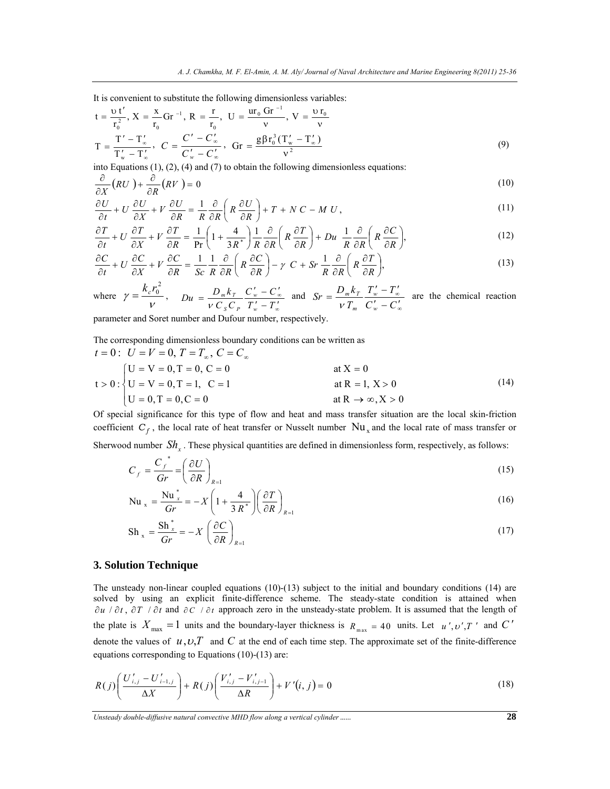It is convenient to substitute the following dimensionless variables:

$$
t = \frac{vt'}{r_0^2}, X = \frac{x}{r_0} Gr^{-1}, R = \frac{r}{r_0}, U = \frac{ur_0 Gr^{-1}}{v}, V = \frac{v r_0}{v}
$$
  

$$
T = \frac{T' - T'_\infty}{T'_w - T'_\infty}, C = \frac{C' - C'_\infty}{C'_w - C'_\infty}, Gr = \frac{g\beta r_0^3 (T'_w - T'_\infty)}{v^2}
$$
 (9)

into Equations (1), (2), (4) and (7) to obtain the following dimensionless equations:

$$
\frac{\partial}{\partial X}(RU) + \frac{\partial}{\partial R}(RV) = 0
$$
\n(10)

$$
\frac{\partial U}{\partial t} + U \frac{\partial U}{\partial X} + V \frac{\partial U}{\partial R} = \frac{1}{R} \frac{\partial}{\partial R} \left( R \frac{\partial U}{\partial R} \right) + T + NC - MU,
$$
\n(11)

$$
\frac{\partial T}{\partial t} + U \frac{\partial T}{\partial X} + V \frac{\partial T}{\partial R} = \frac{1}{\text{Pr}} \left( 1 + \frac{4}{3R^*} \right) \frac{1}{R} \frac{\partial}{\partial R} \left( R \frac{\partial T}{\partial R} \right) + Du \frac{1}{R} \frac{\partial}{\partial R} \left( R \frac{\partial C}{\partial R} \right),\tag{12}
$$

$$
\frac{\partial C}{\partial t} + U \frac{\partial C}{\partial X} + V \frac{\partial C}{\partial R} = \frac{1}{Sc} \frac{1}{R} \frac{\partial}{\partial R} \left( R \frac{\partial C}{\partial R} \right) - \gamma C + Sr \frac{1}{R} \frac{\partial}{\partial R} \left( R \frac{\partial T}{\partial R} \right),\tag{13}
$$

where 
$$
\gamma = \frac{k_c r_0^2}{v}
$$
,  $D_u = \frac{D_m k_r}{v C_s C_p} \frac{C_w' - C_w'}{T_w' - T_w'}$  and  $S_r = \frac{D_m k_r}{v T_m} \frac{T_w' - T_w'}{C_w' - C_w'}$  are the chemical reaction

parameter and Soret number and Dufour number, respectively.

The corresponding dimensionless boundary conditions can be written as

$$
t = 0: U = V = 0, T = T_{\infty}, C = C_{\infty}
$$
  
\n
$$
t > 0: \begin{cases} U = V = 0, T = 0, C = 0 \\ U = V = 0, T = 1, C = 1 \end{cases}
$$
 at X = 0  
\n
$$
U = V = 0, T = 1, C = 1
$$
 at R = 1, X > 0  
\nat R  $\rightarrow \infty$ , X > 0 (14)

Of special significance for this type of flow and heat and mass transfer situation are the local skin-friction coefficient  $C_f$ , the local rate of heat transfer or Nusselt number  $Nu_x$  and the local rate of mass transfer or

Sherwood number  $Sh<sub>r</sub>$ . These physical quantities are defined in dimensionless form, respectively, as follows:

$$
C_f = \frac{C_f^*}{Gr} = \left(\frac{\partial U}{\partial R}\right)_{R=1} \tag{15}
$$

$$
\mathrm{Nu}_{x} = \frac{\mathrm{Nu}_{x}^{*}}{Gr} = -X \left( 1 + \frac{4}{3 R^{*}} \right) \left( \frac{\partial T}{\partial R} \right)_{R=1}
$$
\n(16)

$$
Sh_x = \frac{Sh_x^*}{Gr} = -X \left(\frac{\partial C}{\partial R}\right)_{R=1}
$$
\n(17)

### **3. Solution Technique**

The unsteady non-linear coupled equations (10)-(13) subject to the initial and boundary conditions (14) are solved by using an explicit finite-difference scheme. The steady-state condition is attained when ∂u / ∂t, ∂T / ∂t and ∂C / ∂t approach zero in the unsteady-state problem. It is assumed that the length of the plate is  $X_{\text{max}} = 1$  units and the boundary-layer thickness is  $R_{\text{max}} = 40$  units. Let  $u', v', T'$  and  $C'$ denote the values of  $u, v, T$  and C at the end of each time step. The approximate set of the finite-difference equations corresponding to Equations (10)-(13) are:

$$
R(j)\left(\frac{U'_{i,j} - U'_{i-1,j}}{\Delta X}\right) + R(j)\left(\frac{V'_{i,j} - V'_{i,j-1}}{\Delta R}\right) + V'(i,j) = 0
$$
\n(18)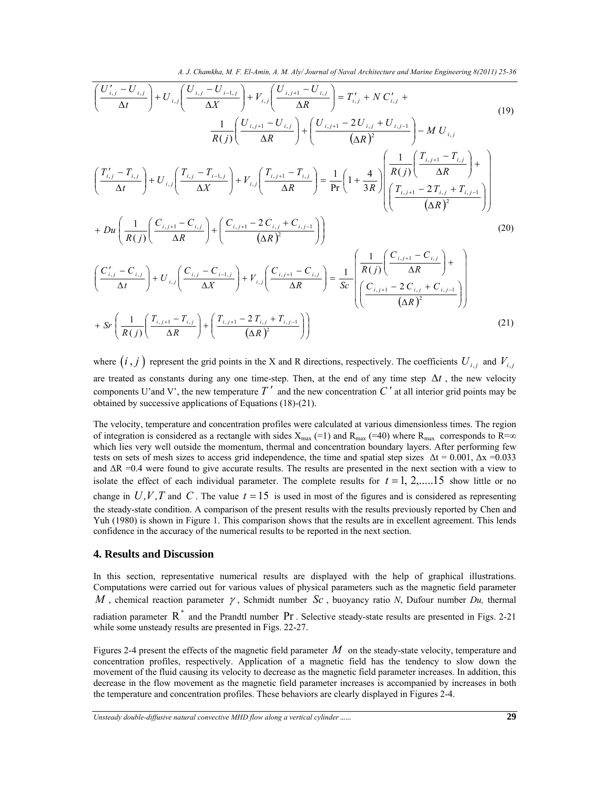*A. J. Chamkha, M. F. El-Amin, A. M. Aly/ Journal of Naval Architecture and Marine Engineering 8(2011) 25-36* 

$$
\left(\frac{U'_{i,j} - U_{i,j}}{\Delta t}\right) + U_{i,j} \left(\frac{U_{i,j} - U_{i-1,j}}{\Delta X}\right) + V_{i,j} \left(\frac{U_{i,j+1} - U_{i,j}}{\Delta R}\right) = T'_{i,j} + NC'_{i,j} + \frac{1}{R(j)} \left(\frac{U_{i,j+1} - U_{i,j}}{\Delta R}\right) + \left(\frac{U_{i,j+1} - 2U_{i,j} + U_{i,j-1}}{\Delta R}\right) - M U_{i,j}
$$
\n
$$
\left(\frac{T'_{i,j} - T_{i,j}}{\Delta t}\right) + U_{i,j} \left(\frac{T_{i,j} - T_{i-1,j}}{\Delta X}\right) + V_{i,j} \left(\frac{T_{i,j+1} - T_{i,j}}{\Delta R}\right) = \frac{1}{\Pr} \left(1 + \frac{4}{3R}\right) \left(\frac{1}{R(j)} \left(\frac{T_{i,j+1} - T_{i,j}}{\Delta R}\right) + D u \left(\frac{1}{R(j)} \left(\frac{C_{i,j+1} - C_{i,j}}{\Delta R}\right) + \left(\frac{C_{i,j+1} - 2C_{i,j} + C_{i,j-1}}{\Delta R}\right)\right)\right)
$$
\n
$$
+ Du \left(\frac{1}{R(j)} \left(\frac{C_{i,j+1} - C_{i,j}}{\Delta R}\right) + \left(\frac{C_{i,j+1} - 2C_{i,j} + C_{i,j-1}}{\Delta R}\right)\right)
$$
\n
$$
\left(\frac{C'_{i,j} - C_{i,j}}{\Delta t}\right) + U_{i,j} \left(\frac{C_{i,j} - C_{i-1,j}}{\Delta X}\right) + V_{i,j} \left(\frac{C_{i,j+1} - C_{i,j}}{\Delta R}\right) = \frac{1}{Sc} \left(\frac{1}{R(j)} \left(\frac{C_{i,j+1} - C_{i,j}}{\Delta R}\right) + \frac{1}{2} \left(\frac{C_{i,j+1} - C_{i,j}}{\Delta R}\right)\right)
$$
\n
$$
+ Sr \left(\frac{1}{R(j)} \left(\frac{T_{i,j+1} - T_{i,j}}{\Delta R}\right) + \left(\frac{T_{i,j+1} - 2T_{i,j} + T_{i,j-1}}{\Delta R}\right)\right)
$$
\n(21)

where  $(i, j)$  represent the grid points in the X and R directions, respectively. The coefficients  $U_{i,j}$  and  $V_{i,j}$ are treated as constants during any one time-step. Then, at the end of any time step ∆*t* , the new velocity components U'and V', the new temperature  $T'$  and the new concentration  $C'$  at all interior grid points may be obtained by successive applications of Equations (18)-(21).

The velocity, temperature and concentration profiles were calculated at various dimensionless times. The region of integration is considered as a rectangle with sides  $X_{\text{max}}$  (=1) and  $R_{\text{max}}$  (=40) where  $R_{\text{max}}$  corresponds to  $R=\infty$ which lies very well outside the momentum, thermal and concentration boundary layers. After performing few tests on sets of mesh sizes to access grid independence, the time and spatial step sizes  $\Delta t = 0.001$ ,  $\Delta x = 0.033$ and ∆R =0.4 were found to give accurate results. The results are presented in the next section with a view to isolate the effect of each individual parameter. The complete results for  $t = 1, 2, \ldots, 15$  show little or no change in  $U, V, T$  and  $C$ . The value  $t = 15$  is used in most of the figures and is considered as representing the steady-state condition. A comparison of the present results with the results previously reported by Chen and Yuh (1980) is shown in Figure 1. This comparison shows that the results are in excellent agreement. This lends confidence in the accuracy of the numerical results to be reported in the next section.

#### **4. Results and Discussion**

In this section, representative numerical results are displayed with the help of graphical illustrations. Computations were carried out for various values of physical parameters such as the magnetic field parameter *M* , chemical reaction parameter <sup>γ</sup> , Schmidt number *Sc* , buoyancy ratio *N*, Dufour number *Du,* thermal

radiation parameter  $R^*$  and the Prandtl number  $Pr$ . Selective steady-state results are presented in Figs. 2-21 while some unsteady results are presented in Figs. 22-27.

Figures 2-4 present the effects of the magnetic field parameter *M* on the steady-state velocity, temperature and concentration profiles, respectively. Application of a magnetic field has the tendency to slow down the movement of the fluid causing its velocity to decrease as the magnetic field parameter increases. In addition, this decrease in the flow movement as the magnetic field parameter increases is accompanied by increases in both the temperature and concentration profiles. These behaviors are clearly displayed in Figures 2-4.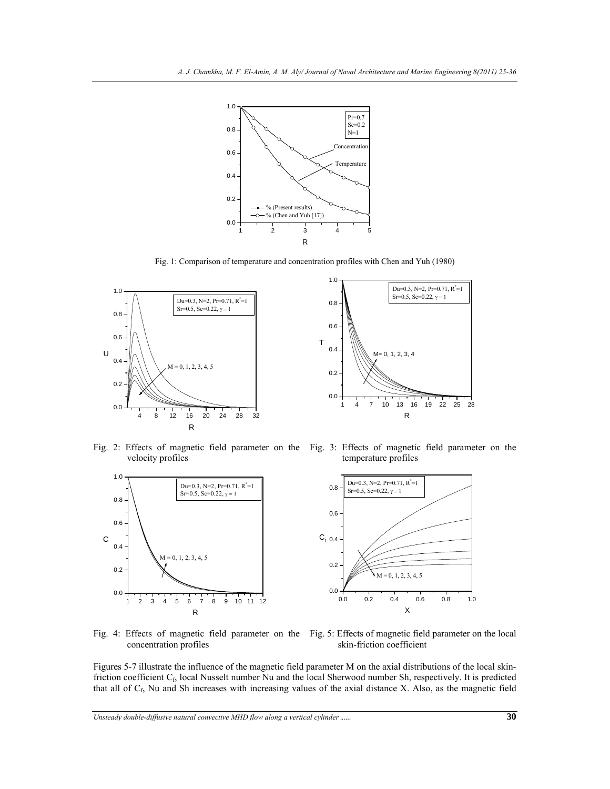

Fig. 1: Comparison of temperature and concentration profiles with Chen and Yuh (1980)



Fig. 2: Effects of magnetic field parameter on the Fig. 3: Effects of magnetic field parameter on the velocity profiles temperature profiles

R



Fig. 4: Effects of magnetic field parameter on the concentration profiles Fig. 5: Effects of magnetic field parameter on the local skin-friction coefficient

Figures 5-7 illustrate the influence of the magnetic field parameter M on the axial distributions of the local skinfriction coefficient  $C_f$ , local Nusselt number Nu and the local Sherwood number Sh, respectively. It is predicted that all of  $C_f$ , Nu and Sh increases with increasing values of the axial distance X. Also, as the magnetic field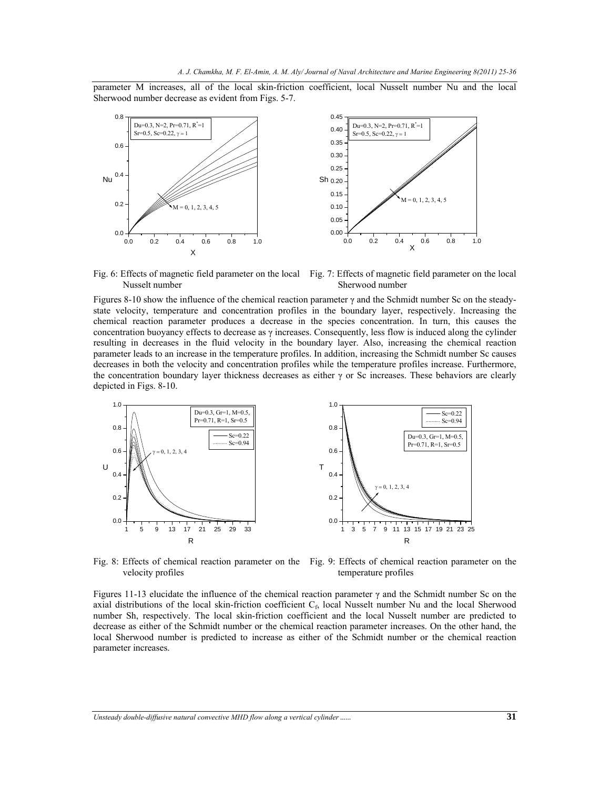parameter M increases, all of the local skin-friction coefficient, local Nusselt number Nu and the local Sherwood number decrease as evident from Figs. 5-7.



Fig. 6: Effects of magnetic field parameter on the local Fig. 7: Effects of magnetic field parameter on the local Nusselt number Sherwood number

Figures 8-10 show the influence of the chemical reaction parameter  $\gamma$  and the Schmidt number Sc on the steadystate velocity, temperature and concentration profiles in the boundary layer, respectively. Increasing the chemical reaction parameter produces a decrease in the species concentration. In turn, this causes the concentration buoyancy effects to decrease as  $\gamma$  increases. Consequently, less flow is induced along the cylinder resulting in decreases in the fluid velocity in the boundary layer. Also, increasing the chemical reaction parameter leads to an increase in the temperature profiles. In addition, increasing the Schmidt number Sc causes decreases in both the velocity and concentration profiles while the temperature profiles increase. Furthermore, the concentration boundary layer thickness decreases as either  $\gamma$  or Sc increases. These behaviors are clearly depicted in Figs. 8-10.



Fig. 8: Effects of chemical reaction parameter on the Fig. 9: Effects of chemical reaction parameter on the velocity profiles temperature profiles

Figures 11-13 elucidate the influence of the chemical reaction parameter  $\gamma$  and the Schmidt number Sc on the axial distributions of the local skin-friction coefficient  $C_f$ , local Nusselt number Nu and the local Sherwood number Sh, respectively. The local skin-friction coefficient and the local Nusselt number are predicted to decrease as either of the Schmidt number or the chemical reaction parameter increases. On the other hand, the local Sherwood number is predicted to increase as either of the Schmidt number or the chemical reaction parameter increases.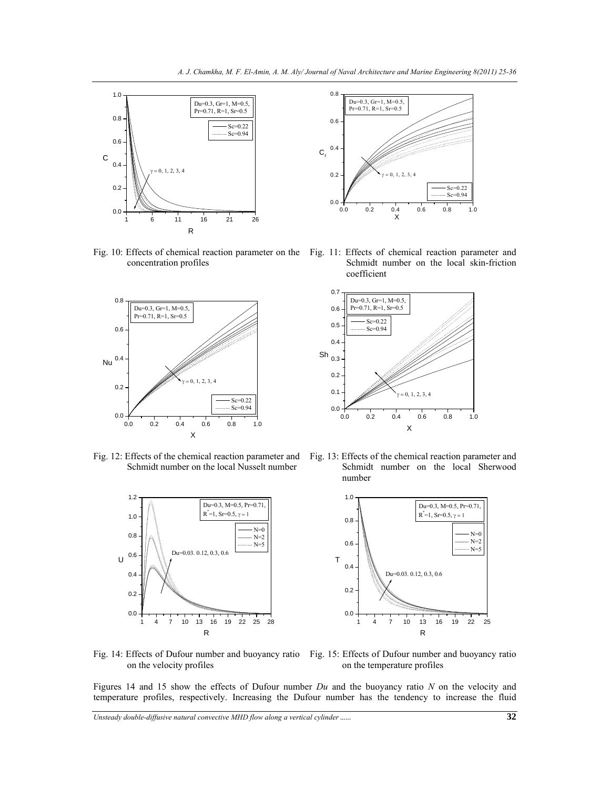

concentration profiles



Fig. 12: Effects of the chemical reaction parameter and Schmidt number on the local Nusselt number





Fig. 10: Effects of chemical reaction parameter on the Fig. 11: Effects of chemical reaction parameter and Schmidt number on the local skin-friction coefficient



Fig. 13: Effects of the chemical reaction parameter and Schmidt number on the local Sherwood number



Fig. 14: Effects of Dufour number and buoyancy ratio on the velocity profiles

Fig. 15: Effects of Dufour number and buoyancy ratio on the temperature profiles

Figures 14 and 15 show the effects of Dufour number *Du* and the buoyancy ratio *N* on the velocity and temperature profiles, respectively. Increasing the Dufour number has the tendency to increase the fluid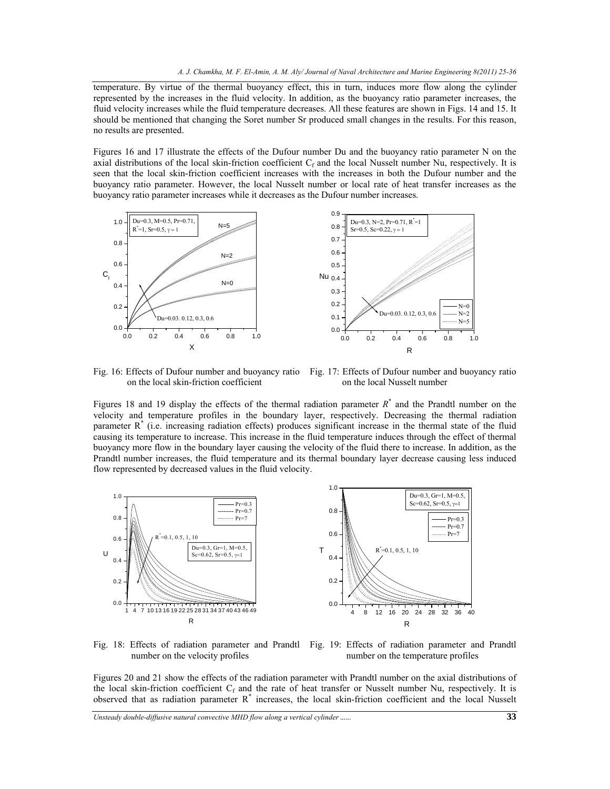temperature. By virtue of the thermal buoyancy effect, this in turn, induces more flow along the cylinder represented by the increases in the fluid velocity. In addition, as the buoyancy ratio parameter increases, the fluid velocity increases while the fluid temperature decreases. All these features are shown in Figs. 14 and 15. It should be mentioned that changing the Soret number Sr produced small changes in the results. For this reason, no results are presented.

Figures 16 and 17 illustrate the effects of the Dufour number Du and the buoyancy ratio parameter N on the axial distributions of the local skin-friction coefficient  $C_f$  and the local Nusselt number Nu, respectively. It is seen that the local skin-friction coefficient increases with the increases in both the Dufour number and the buoyancy ratio parameter. However, the local Nusselt number or local rate of heat transfer increases as the buoyancy ratio parameter increases while it decreases as the Dufour number increases.



Fig. 16: Effects of Dufour number and buoyancy ratio on the local skin-friction coefficient

Fig. 17: Effects of Dufour number and buoyancy ratio on the local Nusselt number

Figures 18 and 19 display the effects of the thermal radiation parameter  $R^*$  and the Prandtl number on the velocity and temperature profiles in the boundary layer, respectively. Decreasing the thermal radiation parameter  $R^*$  (i.e. increasing radiation effects) produces significant increase in the thermal state of the fluid causing its temperature to increase. This increase in the fluid temperature induces through the effect of thermal buoyancy more flow in the boundary layer causing the velocity of the fluid there to increase. In addition, as the Prandtl number increases, the fluid temperature and its thermal boundary layer decrease causing less induced flow represented by decreased values in the fluid velocity.



number on the velocity profiles

Fig. 18: Effects of radiation parameter and Prandtl Fig. 19: Effects of radiation parameter and Prandtl number on the temperature profiles

Figures 20 and 21 show the effects of the radiation parameter with Prandtl number on the axial distributions of the local skin-friction coefficient  $C_f$  and the rate of heat transfer or Nusselt number Nu, respectively. It is observed that as radiation parameter R\* increases, the local skin-friction coefficient and the local Nusselt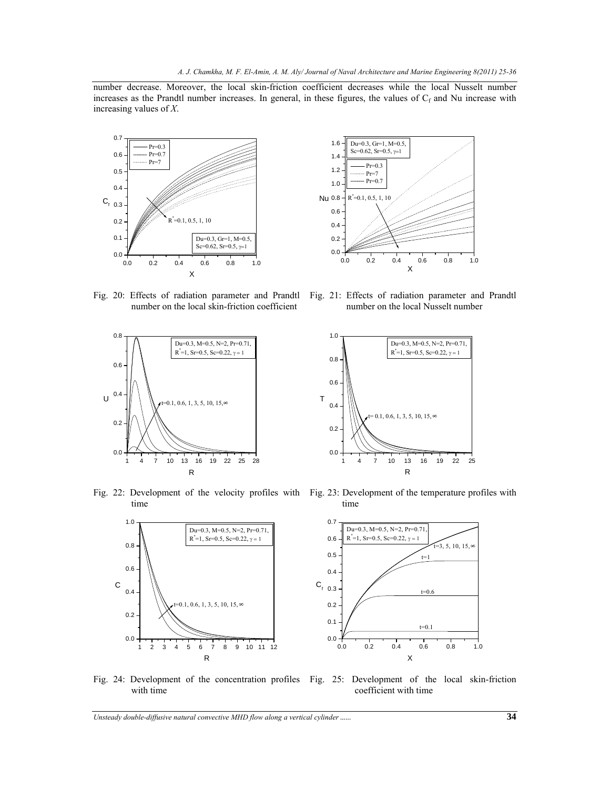number decrease. Moreover, the local skin-friction coefficient decreases while the local Nusselt number increases as the Prandtl number increases. In general, in these figures, the values of  $C_f$  and Nu increase with increasing values of *X*.





number on the local skin-friction coefficient

Fig. 20: Effects of radiation parameter and Prandtl Fig. 21: Effects of radiation parameter and Prandtl number on the local Nusselt number





Fig. 22: Development of the velocity profiles with Fig. 23: Development of the temperature profiles with time time



Fig. 24: Development of the concentration profiles Fig. 25: Development of the local skin-friction

 $t=3, 5, 10, 15,$  ∞

 $t=1$ 

 $t=0.6$ 

 $t=0.1$ 

with time

coefficient with time

X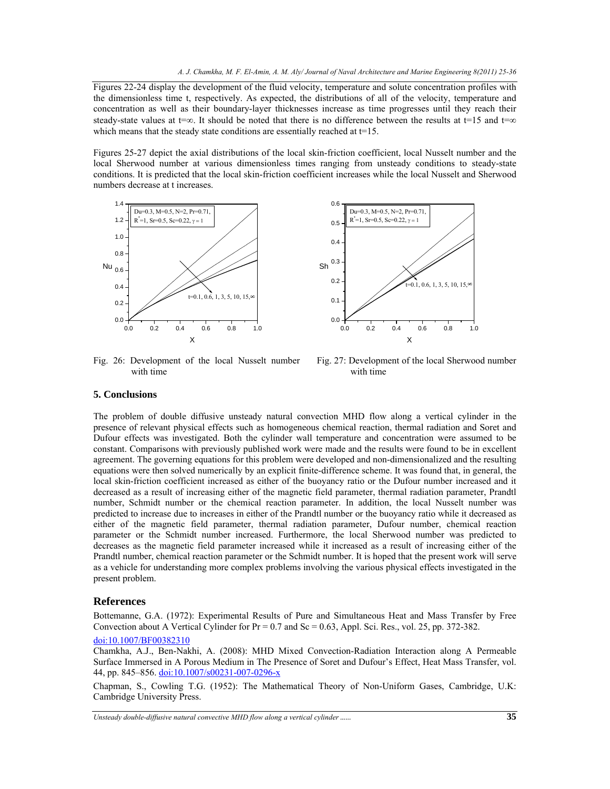Figures 22-24 display the development of the fluid velocity, temperature and solute concentration profiles with the dimensionless time t, respectively. As expected, the distributions of all of the velocity, temperature and concentration as well as their boundary-layer thicknesses increase as time progresses until they reach their steady-state values at t=∞. It should be noted that there is no difference between the results at t=15 and t=∞ which means that the steady state conditions are essentially reached at t=15.

Figures 25-27 depict the axial distributions of the local skin-friction coefficient, local Nusselt number and the local Sherwood number at various dimensionless times ranging from unsteady conditions to steady-state conditions. It is predicted that the local skin-friction coefficient increases while the local Nusselt and Sherwood numbers decrease at t increases.



Fig. 26: Development of the local Nusselt number with time



Fig. 27: Development of the local Sherwood number with time

### **5. Conclusions**

The problem of double diffusive unsteady natural convection MHD flow along a vertical cylinder in the presence of relevant physical effects such as homogeneous chemical reaction, thermal radiation and Soret and Dufour effects was investigated. Both the cylinder wall temperature and concentration were assumed to be constant. Comparisons with previously published work were made and the results were found to be in excellent agreement. The governing equations for this problem were developed and non-dimensionalized and the resulting equations were then solved numerically by an explicit finite-difference scheme. It was found that, in general, the local skin-friction coefficient increased as either of the buoyancy ratio or the Dufour number increased and it decreased as a result of increasing either of the magnetic field parameter, thermal radiation parameter, Prandtl number, Schmidt number or the chemical reaction parameter. In addition, the local Nusselt number was predicted to increase due to increases in either of the Prandtl number or the buoyancy ratio while it decreased as either of the magnetic field parameter, thermal radiation parameter, Dufour number, chemical reaction parameter or the Schmidt number increased. Furthermore, the local Sherwood number was predicted to decreases as the magnetic field parameter increased while it increased as a result of increasing either of the Prandtl number, chemical reaction parameter or the Schmidt number. It is hoped that the present work will serve as a vehicle for understanding more complex problems involving the various physical effects investigated in the present problem.

#### **References**

Bottemanne, G.A. (1972): Experimental Results of Pure and Simultaneous Heat and Mass Transfer by Free Convection about A Vertical Cylinder for  $Pr = 0.7$  and  $Sc = 0.63$ , Appl. Sci. Res., vol. 25, pp. 372-382.

#### doi:10.1007/BF00382310

Chamkha, A.J., Ben-Nakhi, A. (2008): MHD Mixed Convection-Radiation Interaction along A Permeable Surface Immersed in A Porous Medium in The Presence of Soret and Dufour's Effect, Heat Mass Transfer, vol. 44, pp. 845–856. doi:10.1007/s00231-007-0296-x

Chapman, S., Cowling T.G. (1952): The Mathematical Theory of Non-Uniform Gases, Cambridge, U.K: Cambridge University Press.